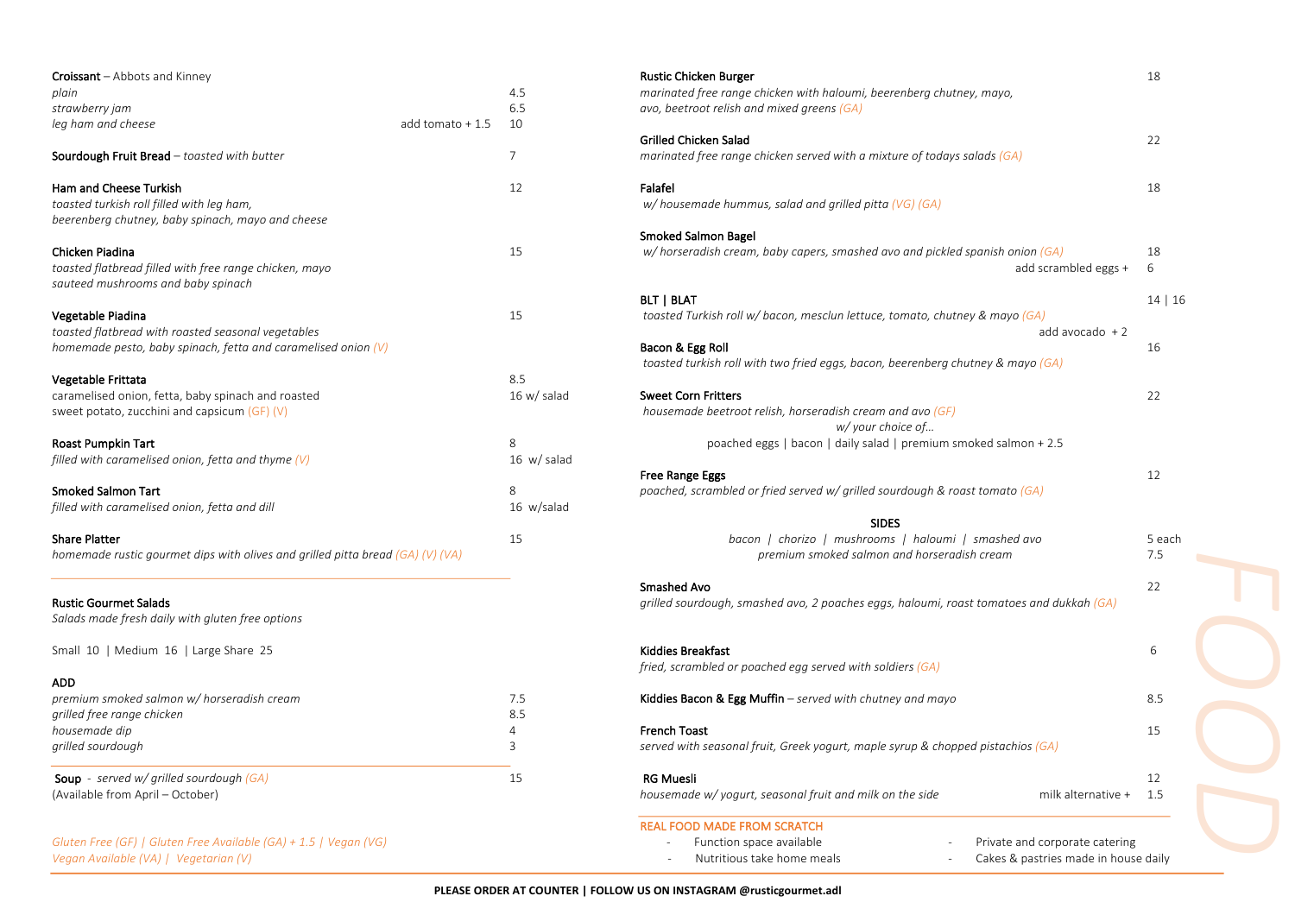| <b>Croissant</b> - Abbots and Kinney                                                         |                   |                  | <b>Rustic Chicken Burger</b>                                                       |
|----------------------------------------------------------------------------------------------|-------------------|------------------|------------------------------------------------------------------------------------|
| plain                                                                                        |                   | 4.5              | marinated free range chicken with haloumi, beerenberg chutney, mayo,               |
| strawberry jam                                                                               |                   | 6.5              | avo, beetroot relish and mixed greens (GA)                                         |
| leg ham and cheese                                                                           | add tomato $+1.5$ | 10               |                                                                                    |
|                                                                                              |                   |                  | <b>Grilled Chicken Salad</b>                                                       |
| Sourdough Fruit Bread - toasted with butter                                                  |                   | $\overline{7}$   | marinated free range chicken served with a mixture of todays salads (GA)           |
| Ham and Cheese Turkish                                                                       |                   | 12               | Falafel                                                                            |
| toasted turkish roll filled with leg ham,                                                    |                   |                  | $w/$ housemade hummus, salad and grilled pitta (VG) (GA)                           |
| beerenberg chutney, baby spinach, mayo and cheese                                            |                   |                  |                                                                                    |
|                                                                                              |                   |                  | <b>Smoked Salmon Bagel</b>                                                         |
| Chicken Piadina                                                                              |                   | 15               | w/ horseradish cream, baby capers, smashed avo and pickled spanish onion (GA)      |
| toasted flatbread filled with free range chicken, mayo<br>sauteed mushrooms and baby spinach |                   |                  | add scrar                                                                          |
|                                                                                              |                   |                  | <b>BLT   BLAT</b>                                                                  |
| Vegetable Piadina<br>toasted flatbread with roasted seasonal vegetables                      |                   | 15               | toasted Turkish roll w/ bacon, mesclun lettuce, tomato, chutney & mayo (GA)<br>add |
| homemade pesto, baby spinach, fetta and caramelised onion $(V)$                              |                   |                  | Bacon & Egg Roll                                                                   |
|                                                                                              |                   |                  | toasted turkish roll with two fried eggs, bacon, beerenberg chutney & mayo (GA)    |
| Vegetable Frittata                                                                           |                   | 8.5              |                                                                                    |
| caramelised onion, fetta, baby spinach and roasted                                           |                   | 16 w/salad       | <b>Sweet Corn Fritters</b>                                                         |
| sweet potato, zucchini and capsicum (GF) (V)                                                 |                   |                  | housemade beetroot relish, horseradish cream and avo (GF)                          |
|                                                                                              |                   |                  | w/ your choice of                                                                  |
| Roast Pumpkin Tart                                                                           |                   | 8                | poached eggs   bacon   daily salad   premium smoked salmon + 2.5                   |
| filled with caramelised onion, fetta and thyme $(V)$                                         |                   | $16 \,$ w/ salad |                                                                                    |
|                                                                                              |                   |                  | Free Range Eggs                                                                    |
| <b>Smoked Salmon Tart</b>                                                                    |                   | 8                | poached, scrambled or fried served w/ grilled sourdough & roast tomato $(GA)$      |
| filled with caramelised onion, fetta and dill                                                |                   | 16 w/salad       |                                                                                    |
|                                                                                              |                   |                  | <b>SIDES</b>                                                                       |
| <b>Share Platter</b>                                                                         |                   | 15               | bacon   chorizo   mushrooms   haloumi   smashed avo                                |
| homemade rustic gourmet dips with olives and grilled pitta bread (GA) (V) (VA)               |                   |                  | premium smoked salmon and horseradish cream                                        |
|                                                                                              |                   |                  | Smashed Avo                                                                        |
| <b>Rustic Gourmet Salads</b>                                                                 |                   |                  | grilled sourdough, smashed avo, 2 poaches eggs, haloumi, roast tomatoes and di     |
| Salads made fresh daily with gluten free options                                             |                   |                  |                                                                                    |
| Small 10   Medium 16   Large Share 25                                                        |                   |                  | <b>Kiddies Breakfast</b>                                                           |
|                                                                                              |                   |                  | fried, scrambled or poached egg served with soldiers (GA)                          |
| ADD                                                                                          |                   |                  |                                                                                    |
| premium smoked salmon w/ horseradish cream                                                   |                   | 7.5              | <b>Kiddies Bacon &amp; Egg Muffin</b> – served with chutney and mayo               |
| grilled free range chicken                                                                   |                   | 8.5              |                                                                                    |
| housemade dip                                                                                |                   | 4                | <b>French Toast</b>                                                                |
| grilled sourdough                                                                            |                   | 3                | served with seasonal fruit, Greek yogurt, maple syrup & chopped pistachios $(GA)$  |
| <b>Soup</b> - served $w$ / grilled sourdough (GA)                                            |                   | 15               | <b>RG Muesli</b>                                                                   |
| (Available from April – October)                                                             |                   |                  | housemade w/ yogurt, seasonal fruit and milk on the side<br>milk                   |
|                                                                                              |                   |                  | <b>REAL FOOD MADE FROM SCRATCH</b>                                                 |
| Gluten Free (GF)   Gluten Free Available (GA) + 1.5   Vegan (VG)                             |                   |                  | Private and corp<br>Function space available                                       |

*Vegan Available (VA) | Vegetarian (V)* 

| <b>Croissant</b> – Abbots and Kinney<br>plain                                  |                   | 4.5              | <b>Rustic Chicken Burger</b><br>marinated free range chicken with haloumi, beerenberg chutney, mayo, | 18      |
|--------------------------------------------------------------------------------|-------------------|------------------|------------------------------------------------------------------------------------------------------|---------|
| strawberry jam                                                                 |                   | 6.5              | avo, beetroot relish and mixed greens (GA)                                                           |         |
| leg ham and cheese                                                             | add tomato $+1.5$ | 10               |                                                                                                      |         |
|                                                                                |                   |                  | <b>Grilled Chicken Salad</b>                                                                         | 22      |
| Sourdough Fruit Bread - toasted with butter                                    |                   | $\overline{7}$   | marinated free range chicken served with a mixture of todays salads (GA)                             |         |
| Ham and Cheese Turkish                                                         |                   | 12               | Falafel                                                                                              | 18      |
| toasted turkish roll filled with leg ham,                                      |                   |                  | w/housemade hummus, salad and grilled pitta (VG) (GA)                                                |         |
| beerenberg chutney, baby spinach, mayo and cheese                              |                   |                  |                                                                                                      |         |
|                                                                                |                   |                  | Smoked Salmon Bagel                                                                                  |         |
| Chicken Piadina                                                                |                   | 15               | w/ horseradish cream, baby capers, smashed avo and pickled spanish onion (GA)                        | 18      |
| toasted flatbread filled with free range chicken, mayo                         |                   |                  | add scrambled eggs +                                                                                 | 6       |
| sauteed mushrooms and baby spinach                                             |                   |                  |                                                                                                      |         |
|                                                                                |                   |                  | <b>BLT   BLAT</b>                                                                                    | 14   16 |
| Vegetable Piadina                                                              |                   | 15               | toasted Turkish roll w/ bacon, mesclun lettuce, tomato, chutney & mayo $(GA)$                        |         |
| toasted flatbread with roasted seasonal vegetables                             |                   |                  | add avocado $+2$                                                                                     |         |
| homemade pesto, baby spinach, fetta and caramelised onion $(V)$                |                   |                  | Bacon & Egg Roll                                                                                     | 16      |
| Vegetable Frittata                                                             |                   | 8.5              | toasted turkish roll with two fried eggs, bacon, beerenberg chutney & mayo (GA)                      |         |
| caramelised onion, fetta, baby spinach and roasted                             |                   | 16 w/salad       | <b>Sweet Corn Fritters</b>                                                                           | 22      |
| sweet potato, zucchini and capsicum (GF) (V)                                   |                   |                  | housemade beetroot relish, horseradish cream and avo (GF)                                            |         |
|                                                                                |                   |                  | w/ your choice of                                                                                    |         |
| Roast Pumpkin Tart                                                             |                   | 8                | poached eggs   bacon   daily salad   premium smoked salmon + 2.5                                     |         |
| filled with caramelised onion, fetta and thyme $(V)$                           |                   | $16 \,$ w/ salad |                                                                                                      |         |
|                                                                                |                   |                  | Free Range Eggs                                                                                      | 12      |
| Smoked Salmon Tart                                                             |                   | 8                | poached, scrambled or fried served w/ grilled sourdough & roast tomato (GA)                          |         |
| filled with caramelised onion, fetta and dill                                  |                   | 16 w/salad       |                                                                                                      |         |
|                                                                                |                   |                  | <b>SIDES</b>                                                                                         |         |
| Share Platter                                                                  |                   | 15               | bacon   chorizo   mushrooms   haloumi   smashed avo                                                  | 5 each  |
| homemade rustic gourmet dips with olives and grilled pitta bread (GA) (V) (VA) |                   |                  | premium smoked salmon and horseradish cream                                                          | 7.5     |
|                                                                                |                   |                  |                                                                                                      |         |
|                                                                                |                   |                  | Smashed Avo                                                                                          | 22      |
| <b>Rustic Gourmet Salads</b>                                                   |                   |                  | grilled sourdough, smashed avo, 2 poaches eggs, haloumi, roast tomatoes and dukkah $(GA)$            |         |
| Salads made fresh daily with gluten free options                               |                   |                  |                                                                                                      |         |
| Small 10   Medium 16   Large Share 25                                          |                   |                  | <b>Kiddies Breakfast</b>                                                                             | 6       |
|                                                                                |                   |                  | fried, scrambled or poached egg served with soldiers (GA)                                            |         |
| ADD                                                                            |                   |                  |                                                                                                      |         |
| premium smoked salmon w/ horseradish cream                                     |                   | 7.5              | Kiddies Bacon & Egg Muffin $-$ served with chutney and mayo                                          | 8.5     |
| grilled free range chicken                                                     |                   | 8.5              |                                                                                                      |         |
| housemade dip                                                                  |                   | 4                | <b>French Toast</b>                                                                                  | 15      |
| grilled sourdough                                                              |                   | 3                | served with seasonal fruit, Greek yogurt, maple syrup & chopped pistachios (GA)                      |         |
|                                                                                |                   |                  |                                                                                                      |         |
| <b>Soup</b> - served w/ grilled sourdough (GA)                                 |                   | 15               | <b>RG Muesli</b>                                                                                     | 12      |
| (Available from April - October)                                               |                   |                  | housemade w/ yogurt, seasonal fruit and milk on the side<br>milk alternative +                       | 1.5     |
|                                                                                |                   |                  |                                                                                                      |         |
|                                                                                |                   |                  | <b>REAL FOOD MADE FROM SCRATCH</b>                                                                   |         |
| Gluten Free (GF)   Gluten Free Available (GA) + 1.5   Vegan (VG)               |                   |                  | Function space available<br>Private and corporate catering                                           |         |
| Vegan Available (VA)   Vegetarian (V)                                          |                   |                  | Nutritious take home meals<br>Cakes & pastries made in house daily                                   |         |